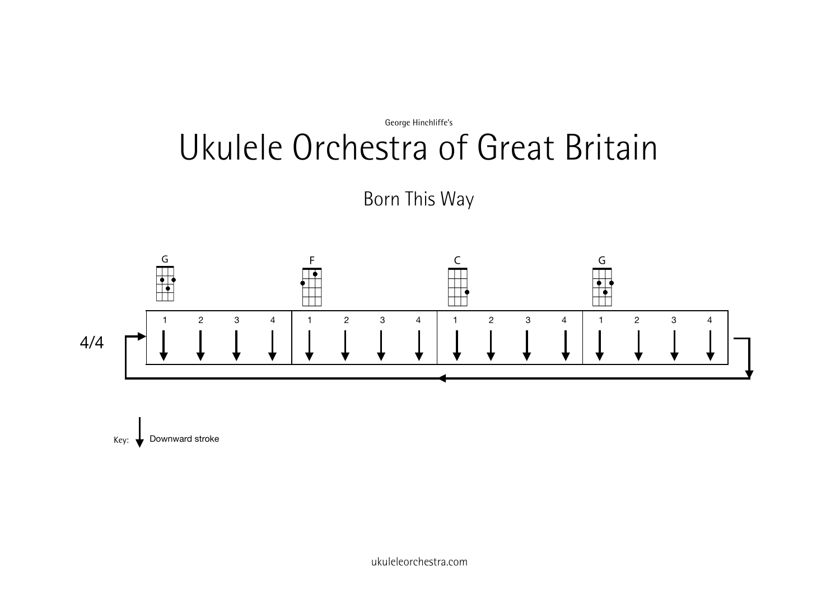

Born This Way



 $Key:$  Downward stroke

ukuleleorchestra.com